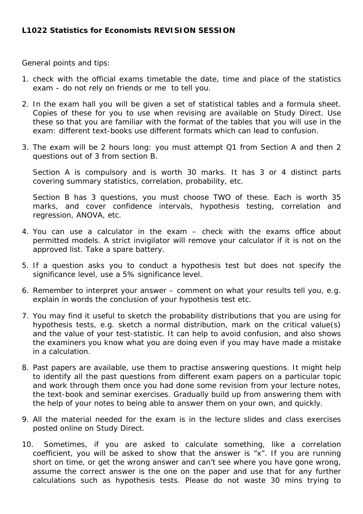General points and tips:

- 1. check with the official exams timetable the date, time and place of the statistics exam – do not rely on friends or me to tell you.
- 2. In the exam hall you will be given a set of statistical tables and a formula sheet. Copies of these for you to use when revising are available on Study Direct. Use these so that you are familiar with the format of the tables that you will use in the exam: different text-books use different formats which can lead to confusion.
- 3. The exam will be 2 hours long: you must attempt Q1 from Section A and then 2 questions out of 3 from section B.

Section A is compulsory and is worth 30 marks. It has 3 or 4 distinct parts covering summary statistics, correlation, probability, etc.

Section B has 3 questions, you must choose TWO of these. Each is worth 35 marks, and cover confidence intervals, hypothesis testing, correlation and regression, ANOVA, etc.

- 4. You can use a calculator in the exam check with the exams office about permitted models. A strict invigilator will remove your calculator if it is not on the approved list. Take a spare battery.
- 5. If a question asks you to conduct a hypothesis test but does not specify the significance level, use a 5% significance level.
- 6. Remember to interpret your answer comment on what your results tell you, e.g. explain in words the conclusion of your hypothesis test etc.
- 7. You may find it useful to sketch the probability distributions that you are using for hypothesis tests, e.g. sketch a normal distribution, mark on the critical value(s) and the value of your test-statistic. It can help to avoid confusion, and also shows the examiners you know what you are doing even if you may have made a mistake in a calculation.
- 8. Past papers are available, use them to practise answering questions. It might help to identify all the past questions from different exam papers on a particular topic and work through them once you had done some revision from your lecture notes, the text-book and seminar exercises. Gradually build up from answering them with the help of your notes to being able to answer them on your own, and quickly.
- 9. All the material needed for the exam is in the lecture slides and class exercises posted online on Study Direct.
- 10. Sometimes, if you are asked to calculate something, like a correlation coefficient, you will be asked to show that the answer is "x". If you are running short on time, or get the wrong answer and can't see where you have gone wrong, assume the correct answer is the one on the paper and use that for any further calculations such as hypothesis tests. Please do not waste 30 mins trying to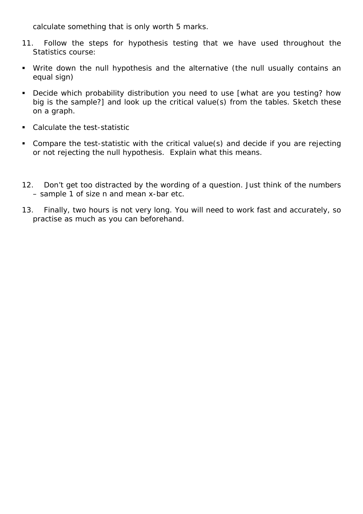calculate something that is only worth 5 marks.

- 11. Follow the steps for hypothesis testing that we have used throughout the Statistics course:
- Write down the null hypothesis and the alternative (the null usually contains an equal sign)
- Decide which probability distribution you need to use [what are you testing? how big is the sample?] and look up the critical value(s) from the tables. Sketch these on a graph.
- Calculate the test-statistic
- Compare the test-statistic with the critical value(s) and decide if you are rejecting or not rejecting the null hypothesis. Explain what this means.
- 12. Don't get too distracted by the wording of a question. Just think of the numbers – sample 1 of size n and mean x-bar etc.
- 13. Finally, two hours is not very long. You will need to work fast and accurately, so practise as much as you can beforehand.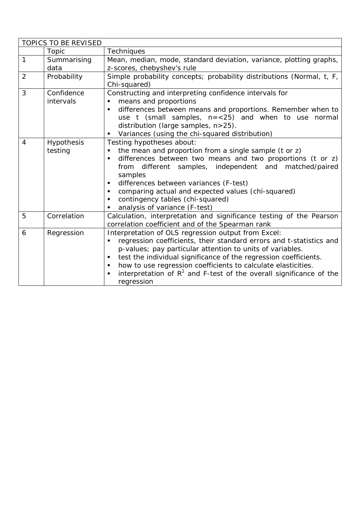| <b>TOPICS TO BE REVISED</b> |                   |                                                                       |
|-----------------------------|-------------------|-----------------------------------------------------------------------|
|                             | Topic             | <b>Techniques</b>                                                     |
| 1                           | Summarising       | Mean, median, mode, standard deviation, variance, plotting graphs,    |
|                             | data              | z-scores, chebyshev's rule                                            |
| 2                           | Probability       | Simple probability concepts; probability distributions (Normal, t, F, |
|                             |                   | Chi-squared)                                                          |
| 3                           | Confidence        | Constructing and interpreting confidence intervals for                |
|                             | intervals         | means and proportions                                                 |
|                             |                   | differences between means and proportions. Remember when to           |
|                             |                   | use $t$ (small samples, $n = < 25$ ) and when to use normal           |
|                             |                   | distribution (large samples, n>25).                                   |
|                             |                   | Variances (using the chi-squared distribution)<br>٠                   |
| $\overline{4}$              | <b>Hypothesis</b> | Testing hypotheses about:                                             |
|                             | testing           | the mean and proportion from a single sample (t or z)                 |
|                             |                   | differences between two means and two proportions (t or z)<br>٠       |
|                             |                   | from different samples, independent and matched/paired                |
|                             |                   | samples                                                               |
|                             |                   | differences between variances (F-test)                                |
|                             |                   | comparing actual and expected values (chi-squared)<br>٠               |
|                             |                   | contingency tables (chi-squared)                                      |
|                             |                   | analysis of variance (F-test)                                         |
| 5                           | Correlation       | Calculation, interpretation and significance testing of the Pearson   |
|                             |                   | correlation coefficient and of the Spearman rank                      |
| 6                           | Regression        | Interpretation of OLS regression output from Excel:                   |
|                             |                   | regression coefficients, their standard errors and t-statistics and   |
|                             |                   | p-values; pay particular attention to units of variables.             |
|                             |                   | test the individual significance of the regression coefficients.<br>٠ |
|                             |                   | how to use regression coefficients to calculate elasticities.         |
|                             |                   | interpretation of $R^2$ and F-test of the overall significance of the |
|                             |                   | regression                                                            |